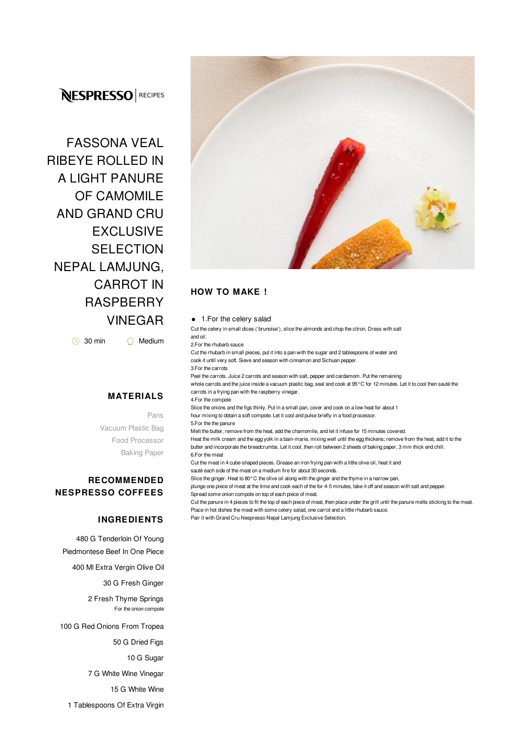# **NESPRESSO** RECIPES

FASSONA VEAL RIBEYE ROLLED IN A LIGHT PANURE OF CAMOMILE AND GRAND CRU **EXCLUSIVE SELECTION** NEPAL LAMJUNG, CARROT IN **RASPBERRY** VINEGAR

 $\circledcirc$  30 min  $\circledcirc$  Medium

### **MATERIALS**

Pans Vacuum Plastic Bag Food Processor Baking Paper

## **RECOMMENDED NESPRESSO COFFEES**

#### **INGREDIENTS**

480 G Tenderloin Of Young Piedmontese Beef In One Piece

400 Ml Extra Vergin Olive Oil

30 G Fresh Ginger

2 Fresh Thyme Springs For the onion compote

100 G Red Onions From Tropea

50 G Dried Figs

10 G Sugar

7 G White Wine Vinegar

15 G White Wine

1 Tablespoons Of Extra Virgin



# **HOW TO MAKE !**

#### ● 1.For the celery salad

Cut the celery in small dices ('brunoise'), slice the almonds and chop the citron. Dress with salt and oil.

2.For the rhubarb sauce

Cut the rhubarb in small pieces, put it into a pan with the sugar and 2 tablespoons of water and cook it until very soft. Sieve and season with cinnamon and Sichuan pepper.

3.For the carrots

Peel the carrots. Juice 2 carrots and season with salt, pepper and cardamom. Put the remaining whole carrots and the juice inside a vacuum plastic bag, seal and cook at 95°C for 12 minutes. Let it to cool then sauté the carrots in a frying pan with the raspberry vinegar.

4.For the compote

Slice the onions and the figs thinly. Put in a small pan, cover and cook on a low heat for about 1 hour mixing to obtain a soft compote. Let it cool and pulse briefly in a food processor.

5.For the the panure

Melt the butter, remove from the heat, add the chamomile, and let it infuse for 15 minutes covered. Heat the milk cream and the egg yolk in a bain-marie, mixing well until the egg thickens; remove from the heat, add it to the butter and incorporate the breadcrumbs. Let it cool, then roll between 2 sheets of baking paper, 3 mm thick and chill. 6.For the meat

Cut the meat in 4 cube-shaped pieces. Grease an iron frying pan with a little olive oil, heat it and

sauté each side of the meat on a medium fire for about 30 seconds.

Slice the ginger. Heat to 80°C the olive oil along with the ginger and the thyme in a narrow pan,

plunge one piece of meat at the time and cook each of the for 4-5 minutes, take it off and season with salt and pepper. Spread some onion compote on top of each piece of meat.

Cut the panure in 4 pieces to fit the top of each piece of meat, then place under the grill until the panure melts sticking to the meat. Place in hot dishes the meat with some celery salad, one carrot and a little rhubarb sauce.

Pair it with Grand Cru Nespresso Nepal Lamjung Exclusive Selection.